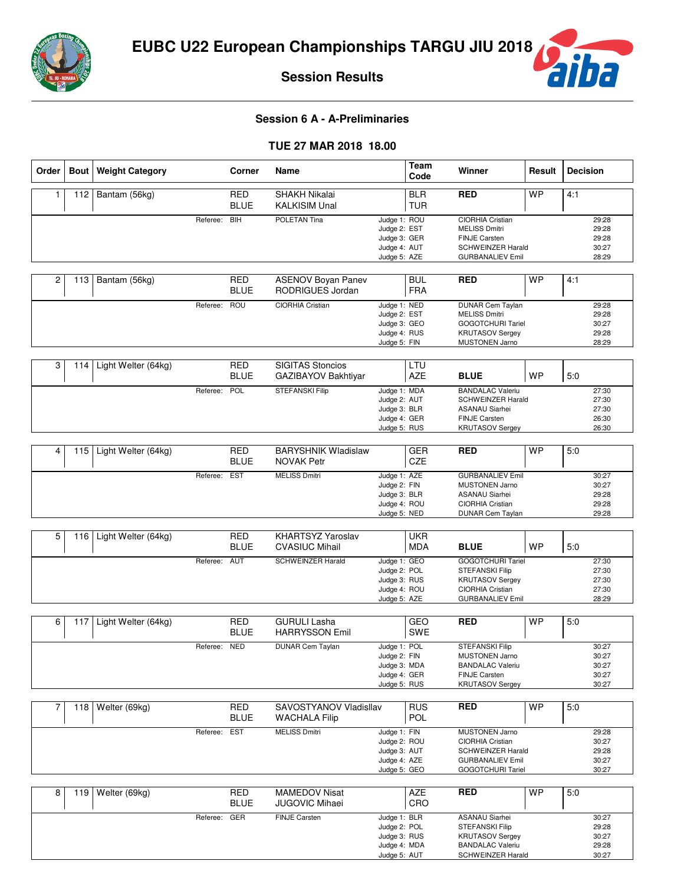

**Session Results**

## **Session 6 A - A-Preliminaries**

#### **TUE 27 MAR 2018 18.00**

| Order | <b>Bout</b> | <b>Weight Category</b> |              | Corner                    | Name                                              |                                                                              | <b>Team</b><br>Code      | Winner                                                                                                                         | Result    | <b>Decision</b>                           |
|-------|-------------|------------------------|--------------|---------------------------|---------------------------------------------------|------------------------------------------------------------------------------|--------------------------|--------------------------------------------------------------------------------------------------------------------------------|-----------|-------------------------------------------|
| 1     | 112         | Bantam (56kg)          |              | <b>RED</b><br><b>BLUE</b> | <b>SHAKH Nikalai</b><br><b>KALKISIM Unal</b>      |                                                                              | <b>BLR</b><br><b>TUR</b> | <b>RED</b>                                                                                                                     | <b>WP</b> | 4:1                                       |
|       |             |                        | Referee:     | <b>BIH</b>                | <b>POLETAN Tina</b>                               | Judge 1: ROU<br>Judge 2: EST<br>Judge 3: GER<br>Judge 4: AUT<br>Judge 5: AZE |                          | CIORHIA Cristian<br><b>MELISS Dmitri</b><br><b>FINJE Carsten</b><br><b>SCHWEINZER Harald</b><br><b>GURBANALIEV Emil</b>        |           | 29:28<br>29:28<br>29:28<br>30:27<br>28:29 |
| 2     | 113         | Bantam (56kg)          |              | <b>RED</b><br><b>BLUE</b> | <b>ASENOV Boyan Panev</b><br>RODRIGUES Jordan     |                                                                              | <b>BUL</b><br><b>FRA</b> | <b>RED</b>                                                                                                                     | <b>WP</b> | 4:1                                       |
|       |             |                        | Referee:     | ROU                       | <b>CIORHIA Cristian</b>                           | Judge 1: NED<br>Judge 2: EST<br>Judge 3: GEO<br>Judge 4: RUS<br>Judge 5: FIN |                          | <b>DUNAR Cem Taylan</b><br><b>MELISS Dmitri</b><br><b>GOGOTCHURI Tariel</b><br><b>KRUTASOV Sergey</b><br><b>MUSTONEN Jarno</b> |           | 29:28<br>29:28<br>30:27<br>29:28<br>28:29 |
| 3     | 114         | Light Welter (64kg)    |              | <b>RED</b><br><b>BLUE</b> | <b>SIGITAS Stoncios</b><br>GAZIBAYOV Bakhtiyar    |                                                                              | LTU<br>AZE               | <b>BLUE</b>                                                                                                                    | <b>WP</b> | 5:0                                       |
|       |             |                        | Referee:     | POL                       | <b>STEFANSKI Filip</b>                            | Judge 1: MDA<br>Judge 2: AUT<br>Judge 3: BLR<br>Judge 4: GER<br>Judge 5: RUS |                          | <b>BANDALAC Valeriu</b><br><b>SCHWEINZER Harald</b><br><b>ASANAU Siarhei</b><br><b>FINJE Carsten</b><br><b>KRUTASOV Sergey</b> |           | 27:30<br>27:30<br>27:30<br>26:30<br>26:30 |
| 4     | 115         | Light Welter (64kg)    |              | <b>RED</b><br><b>BLUE</b> | <b>BARYSHNIK Wladislaw</b><br><b>NOVAK Petr</b>   |                                                                              | <b>GER</b><br>CZE        | <b>RED</b>                                                                                                                     | <b>WP</b> | 5:0                                       |
|       |             |                        | Referee:     | <b>EST</b>                | <b>MELISS Dmitri</b>                              | Judge 1: AZE<br>Judge 2: FIN<br>Judge 3: BLR<br>Judge 4: ROU<br>Judge 5: NED |                          | <b>GURBANALIEV Emil</b><br><b>MUSTONEN Jarno</b><br><b>ASANAU Siarhei</b><br>CIORHIA Cristian<br><b>DUNAR Cem Taylan</b>       |           | 30:27<br>30:27<br>29:28<br>29:28<br>29:28 |
|       |             |                        |              |                           |                                                   |                                                                              |                          |                                                                                                                                |           |                                           |
| 5     | 116         | Light Welter (64kg)    |              | <b>RED</b><br><b>BLUE</b> | <b>KHARTSYZ Yaroslav</b><br><b>CVASIUC Mihail</b> |                                                                              | <b>UKR</b><br><b>MDA</b> | <b>BLUE</b>                                                                                                                    | <b>WP</b> | 5:0                                       |
|       |             |                        | Referee:     | <b>AUT</b>                | <b>SCHWEINZER Harald</b>                          | Judge 1: GEO<br>Judge 2: POL<br>Judge 3: RUS<br>Judge 4: ROU<br>Judge 5: AZE |                          | <b>GOGOTCHURI Tariel</b><br><b>STEFANSKI Filip</b><br><b>KRUTASOV Sergey</b><br>CIORHIA Cristian<br><b>GURBANALIEV Emil</b>    |           | 27:30<br>27:30<br>27:30<br>27:30<br>28:29 |
| 6     | 117         | Light Welter (64kg)    |              | <b>RED</b><br><b>BLUE</b> | <b>GURULI Lasha</b><br><b>HARRYSSON Emil</b>      |                                                                              | GEO<br>SWE               | <b>RED</b>                                                                                                                     | <b>WP</b> | 5.0                                       |
|       |             |                        | Referee:     | <b>NED</b>                | <b>DUNAR Cem Taylan</b>                           | Judge 1: POL<br>Judge 2: FIN<br>Judge 3: MDA<br>Judge 4: GER<br>Judge 5: RUS |                          | <b>STEFANSKI Filip</b><br><b>MUSTONEN Jarno</b><br><b>BANDALAC Valeriu</b><br>FINJE Carsten<br><b>KRUTASOV Sergey</b>          |           | 30:27<br>30:27<br>30:27<br>30:27<br>30:27 |
| 7     | 118         | Welter (69kg)          |              | <b>RED</b><br><b>BLUE</b> | SAVOSTYANOV Vladisllav<br><b>WACHALA Filip</b>    |                                                                              | <b>RUS</b><br>POL        | <b>RED</b>                                                                                                                     | <b>WP</b> | 5:0                                       |
|       |             |                        | Referee: EST |                           | <b>MELISS Dmitri</b>                              | Judge 1: FIN<br>Judge 2: ROU<br>Judge 3: AUT<br>Judge 4: AZE<br>Judge 5: GEO |                          | <b>MUSTONEN Jarno</b><br>CIORHIA Cristian<br><b>SCHWEINZER Harald</b><br><b>GURBANALIEV Emil</b><br><b>GOGOTCHURI Tariel</b>   |           | 29:28<br>30:27<br>29:28<br>30:27<br>30:27 |
| 8     | 119         | Welter (69kg)          |              | RED<br><b>BLUE</b>        | <b>MAMEDOV Nisat</b><br><b>JUGOVIC Mihaei</b>     |                                                                              | AZE<br>CRO               | <b>RED</b>                                                                                                                     | <b>WP</b> | 5:0                                       |
|       |             |                        | Referee:     | GER                       | FINJE Carsten                                     | Judge 1: BLR<br>Judge 2: POL<br>Judge 3: RUS<br>Judge 4: MDA<br>Judge 5: AUT |                          | <b>ASANAU Siarhei</b><br>STEFANSKI Filip<br><b>KRUTASOV Sergey</b><br><b>BANDALAC Valeriu</b><br>SCHWEINZER Harald             |           | 30:27<br>29:28<br>30:27<br>29:28<br>30:27 |

**ba**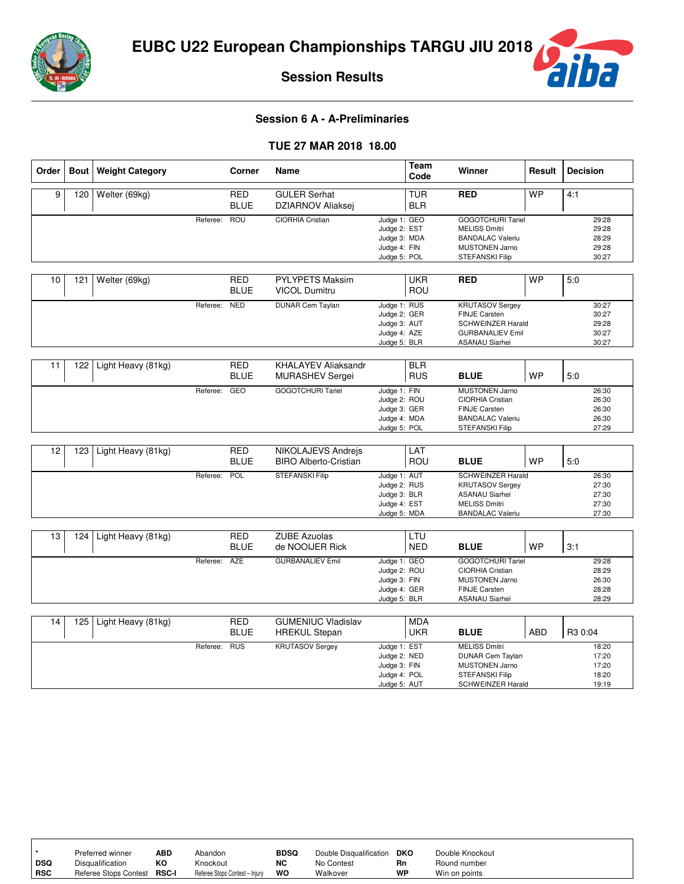

iba

**Session Results**

### **Session 6 A - A-Preliminaries**

### **TUE 27 MAR 2018 18.00**

| Order | <b>Bout</b> | <b>Weight Category</b> |          | <b>Corner</b>             | Name                                                 |                                                                              | Team<br>Code             | Winner                                                                                                                         | Result     | <b>Decision</b>                           |
|-------|-------------|------------------------|----------|---------------------------|------------------------------------------------------|------------------------------------------------------------------------------|--------------------------|--------------------------------------------------------------------------------------------------------------------------------|------------|-------------------------------------------|
| 9     | 120         | Welter (69kg)          |          | <b>RED</b><br><b>BLUE</b> | <b>GULER Serhat</b><br>DZIARNOV Aliaksej             |                                                                              | <b>TUR</b><br><b>BLR</b> | <b>RED</b>                                                                                                                     | <b>WP</b>  | 4:1                                       |
|       |             |                        | Referee: | <b>ROU</b>                | CIORHIA Cristian                                     | Judge 1: GEO<br>Judge 2: EST<br>Judge 3: MDA<br>Judge 4: FIN<br>Judge 5: POL |                          | <b>GOGOTCHURI Tariel</b><br><b>MELISS Dmitri</b><br><b>BANDALAC Valeriu</b><br>MUSTONEN Jarno<br><b>STEFANSKI Filip</b>        |            | 29:28<br>29:28<br>28:29<br>29:28<br>30:27 |
| 10    | 121         | Welter (69kg)          |          | <b>RED</b><br><b>BLUE</b> | <b>PYLYPETS Maksim</b><br><b>VICOL Dumitru</b>       |                                                                              | <b>UKR</b><br>ROU        | <b>RED</b>                                                                                                                     | <b>WP</b>  | 5:0                                       |
|       |             |                        | Referee: | <b>NED</b>                | <b>DUNAR Cem Taylan</b>                              | Judge 1: RUS<br>Judge 2: GER<br>Judge 3: AUT<br>Judge 4: AZE<br>Judge 5: BLR |                          | <b>KRUTASOV Sergey</b><br><b>FINJE Carsten</b><br><b>SCHWEINZER Harald</b><br><b>GURBANALIEV Emil</b><br><b>ASANAU Siarhei</b> |            | 30:27<br>30:27<br>29:28<br>30:27<br>30:27 |
| 11    | 122         | Light Heavy (81kg)     |          | <b>RED</b><br><b>BLUE</b> | <b>KHALAYEV Aliaksandr</b><br><b>MURASHEV Sergei</b> |                                                                              | <b>BLR</b><br><b>RUS</b> | <b>BLUE</b>                                                                                                                    | <b>WP</b>  | 5:0                                       |
|       |             |                        | Referee: | GEO                       | <b>GOGOTCHURI Tariel</b>                             | Judge 1: FIN<br>Judge 2: ROU<br>Judge 3: GER<br>Judge 4: MDA<br>Judge 5: POL |                          | <b>MUSTONEN Jarno</b><br>CIORHIA Cristian<br><b>FINJE Carsten</b><br><b>BANDALAC Valeriu</b><br>STEFANSKI Filip                |            | 26:30<br>26:30<br>26:30<br>26:30<br>27:29 |
| 12    | 123         | Light Heavy (81kg)     |          | <b>RED</b><br><b>BLUE</b> | NIKOLAJEVS Andrejs<br><b>BIRO Alberto-Cristian</b>   |                                                                              | LAT<br>ROU               | <b>BLUE</b>                                                                                                                    | <b>WP</b>  | 5:0                                       |
|       |             |                        | Referee: | POL                       | <b>STEFANSKI Filip</b>                               | Judge 1: AUT<br>Judge 2: RUS<br>Judge 3: BLR<br>Judge 4: EST<br>Judge 5: MDA |                          | <b>SCHWEINZER Harald</b><br><b>KRUTASOV Sergey</b><br><b>ASANAU Siarhei</b><br><b>MELISS Dmitri</b><br><b>BANDALAC Valeriu</b> |            | 26:30<br>27:30<br>27:30<br>27:30<br>27:30 |
| 13    | 124         | Light Heavy (81kg)     |          | <b>RED</b><br><b>BLUE</b> | <b>ZUBE Azuolas</b><br>de NOOIJER Rick               |                                                                              | LTU<br><b>NED</b>        | <b>BLUE</b>                                                                                                                    | <b>WP</b>  | 3:1                                       |
|       |             |                        | Referee: | <b>AZE</b>                | <b>GURBANALIEV Emil</b>                              | Judge 1: GEO<br>Judge 2: ROU<br>Judge 3: FIN<br>Judge 4: GER<br>Judge 5: BLR |                          | <b>GOGOTCHURI Tariel</b><br><b>CIORHIA Cristian</b><br><b>MUSTONEN Jarno</b><br><b>FINJE Carsten</b><br><b>ASANAU Siarhei</b>  |            | 29:28<br>28:29<br>26:30<br>28:28<br>28:29 |
| 14    | 125         | Light Heavy (81kg)     |          | <b>RED</b><br><b>BLUE</b> | <b>GUMENIUC Vladislav</b><br><b>HREKUL Stepan</b>    |                                                                              | <b>MDA</b><br>UKR        | <b>BLUE</b>                                                                                                                    | <b>ABD</b> | R3 0:04                                   |
|       |             |                        | Referee: | <b>RUS</b>                | <b>KRUTASOV Sergey</b>                               | Judge 1: EST<br>Judge 2: NED<br>Judge 3: FIN<br>Judge 4: POL<br>Judge 5: AUT |                          | <b>MELISS Dmitri</b><br><b>DUNAR Cem Taylan</b><br><b>MUSTONEN Jarno</b><br>STEFANSKI Filip<br><b>SCHWEINZER Harald</b>        |            | 18:20<br>17:20<br>17:20<br>18:20<br>19:19 |

|            | Preferred winner            | ABD | Abandon                        | <b>BDSQ</b> | Double Disqualification | DKO | Double Knockout |
|------------|-----------------------------|-----|--------------------------------|-------------|-------------------------|-----|-----------------|
| DSQ        | Disqualification            | КO  | Knockout                       | NC          | No Contest              | Rn  | Round number    |
| <b>RSC</b> | Referee Stops Contest RSC-I |     | Referee Stops Contest - Injury | WO          | Walkover                | WP  | Win on points   |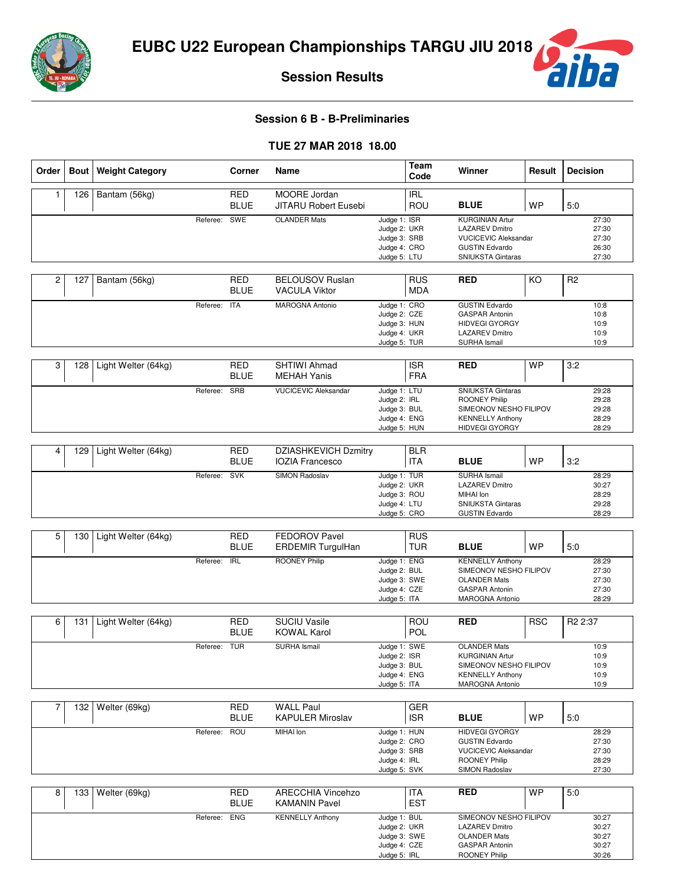

iba

**Session Results**

# **Session 6 B - B-Preliminaries**

### **TUE 27 MAR 2018 18.00**

| Order          | Bout | <b>Weight Category</b> |          | Corner                    | Name                                                  |                                                                              | <b>Team</b><br>Code      | Winner                                                                                                                              | Result     | <b>Decision</b>                           |
|----------------|------|------------------------|----------|---------------------------|-------------------------------------------------------|------------------------------------------------------------------------------|--------------------------|-------------------------------------------------------------------------------------------------------------------------------------|------------|-------------------------------------------|
| 1              | 126  | Bantam (56kg)          |          | <b>RED</b><br><b>BLUE</b> | MOORE Jordan<br><b>JITARU Robert Eusebi</b>           |                                                                              | <b>IRL</b><br>ROU        | <b>BLUE</b>                                                                                                                         | <b>WP</b>  | 5:0                                       |
|                |      |                        | Referee: | SWE                       | <b>OLANDER Mats</b>                                   | Judge 1: ISR<br>Judge 2: UKR<br>Judge 3: SRB<br>Judge 4: CRO<br>Judge 5: LTU |                          | <b>KURGINIAN Artur</b><br><b>LAZAREV Dmitro</b><br><b>VUCICEVIC Aleksandar</b><br><b>GUSTIN Edvardo</b><br><b>SNIUKSTA Gintaras</b> |            | 27:30<br>27:30<br>27:30<br>26:30<br>27:30 |
| $\overline{c}$ | 127  | Bantam (56kg)          |          | <b>RED</b><br><b>BLUE</b> | <b>BELOUSOV Ruslan</b><br><b>VACULA Viktor</b>        |                                                                              | <b>RUS</b><br><b>MDA</b> | <b>RED</b>                                                                                                                          | KO         | R <sub>2</sub>                            |
|                |      |                        | Referee: | <b>ITA</b>                | <b>MAROGNA Antonio</b>                                | Judge 1: CRO<br>Judge 2: CZE<br>Judge 3: HUN<br>Judge 4: UKR<br>Judge 5: TUR |                          | <b>GUSTIN Edvardo</b><br><b>GASPAR Antonin</b><br><b>HIDVEGI GYORGY</b><br><b>LAZAREV Dmitro</b><br><b>SURHA Ismail</b>             |            | 10:8<br>10:8<br>10:9<br>10:9<br>10:9      |
| 3              | 128  | Light Welter (64kg)    |          | <b>RED</b><br><b>BLUE</b> | SHTIWI Ahmad<br><b>MEHAH Yanis</b>                    |                                                                              | <b>ISR</b><br><b>FRA</b> | <b>RED</b>                                                                                                                          | <b>WP</b>  | 3:2                                       |
|                |      |                        | Referee: | SRB                       | <b>VUCICEVIC Aleksandar</b>                           | Judge 1: LTU<br>Judge 2: IRL<br>Judge 3: BUL<br>Judge 4: ENG<br>Judge 5: HUN |                          | <b>SNIUKSTA Gintaras</b><br><b>ROONEY Philip</b><br>SIMEONOV NESHO FILIPOV<br><b>KENNELLY Anthony</b><br><b>HIDVEGI GYORGY</b>      |            | 29:28<br>29:28<br>29:28<br>28:29<br>28:29 |
| 4              | 129  | Light Welter (64kg)    |          | <b>RED</b><br><b>BLUE</b> | <b>DZIASHKEVICH Dzmitry</b><br><b>IOZIA Francesco</b> |                                                                              | <b>BLR</b><br><b>ITA</b> | <b>BLUE</b>                                                                                                                         | <b>WP</b>  | 3:2                                       |
|                |      |                        | Referee: | <b>SVK</b>                | SIMON Radoslav                                        | Judge 1: TUR<br>Judge 2: UKR<br>Judge 3: ROU<br>Judge 4: LTU<br>Judge 5: CRO |                          | <b>SURHA Ismail</b><br><b>LAZAREV Dmitro</b><br>MIHAI Ion<br><b>SNIUKSTA Gintaras</b><br><b>GUSTIN Edvardo</b>                      |            | 28:29<br>30:27<br>28:29<br>29:28<br>28:29 |
|                |      |                        |          |                           |                                                       |                                                                              |                          |                                                                                                                                     |            |                                           |
| 5              | 130  | Light Welter (64kg)    |          | <b>RED</b><br><b>BLUE</b> | <b>FEDOROV Pavel</b><br><b>ERDEMIR TurgulHan</b>      |                                                                              | <b>RUS</b><br><b>TUR</b> | <b>BLUE</b>                                                                                                                         | <b>WP</b>  | 5:0                                       |
|                |      |                        | Referee: | <b>IRL</b>                | <b>ROONEY Philip</b>                                  | Judge 1: ENG<br>Judge 2: BUL<br>Judge 3: SWE<br>Judge 4: CZE<br>Judge 5: ITA |                          | <b>KENNELLY Anthony</b><br>SIMEONOV NESHO FILIPOV<br><b>OLANDER Mats</b><br><b>GASPAR Antonin</b><br><b>MAROGNA Antonio</b>         |            | 28:29<br>27:30<br>27:30<br>27:30<br>28:29 |
| 6              | 131  | Light Welter (64kg)    |          | <b>RED</b><br><b>BLUE</b> | <b>SUCIU Vasile</b><br><b>KOWAL Karol</b>             |                                                                              | ROU<br><b>POL</b>        | <b>RED</b>                                                                                                                          | <b>RSC</b> | R <sub>2</sub> 2:37                       |
|                |      |                        | Referee: | <b>TUR</b>                | <b>SURHA Ismail</b>                                   | Judge 1: SWE<br>Judge 2: ISR<br>Judge 3: BUL<br>Judge 4: ENG<br>Judge 5: ITA |                          | <b>OLANDER Mats</b><br><b>KURGINIAN Artur</b><br>SIMEONOV NESHO FILIPOV<br><b>KENNELLY Anthony</b><br>MAROGNA Antonio               |            | 10:9<br>10:9<br>10:9<br>10:9<br>10:9      |
| 7              | 132  | Welter (69kg)          |          | <b>RED</b><br><b>BLUE</b> | <b>WALL Paul</b><br><b>KAPULER Miroslav</b>           |                                                                              | <b>GER</b><br><b>ISR</b> | <b>BLUE</b>                                                                                                                         | <b>WP</b>  | 5:0                                       |
|                |      |                        | Referee: | ROU                       | MIHAI Ion                                             | Judge 1: HUN<br>Judge 2: CRO<br>Judge 3: SRB<br>Judge 4: IRL<br>Judge 5: SVK |                          | <b>HIDVEGI GYORGY</b><br><b>GUSTIN Edvardo</b><br><b>VUCICEVIC Aleksandar</b><br>ROONEY Philip<br>SIMON Radoslav                    |            | 28:29<br>27:30<br>27:30<br>28:29<br>27:30 |
| 8              | 133  | Welter (69kg)          |          | RED<br><b>BLUE</b>        | <b>ARECCHIA Vincehzo</b><br><b>KAMANIN Pavel</b>      |                                                                              | <b>ITA</b><br><b>EST</b> | <b>RED</b>                                                                                                                          | <b>WP</b>  | 5:0                                       |
|                |      |                        | Referee: | <b>ENG</b>                | <b>KENNELLY Anthony</b>                               | Judge 1: BUL<br>Judge 2: UKR<br>Judge 3: SWE<br>Judge 4: CZE<br>Judge 5: IRL |                          | SIMEONOV NESHO FILIPOV<br><b>LAZAREV Dmitro</b><br><b>OLANDER Mats</b><br><b>GASPAR Antonin</b><br>ROONEY Philip                    |            | 30:27<br>30:27<br>30:27<br>30:27<br>30:26 |